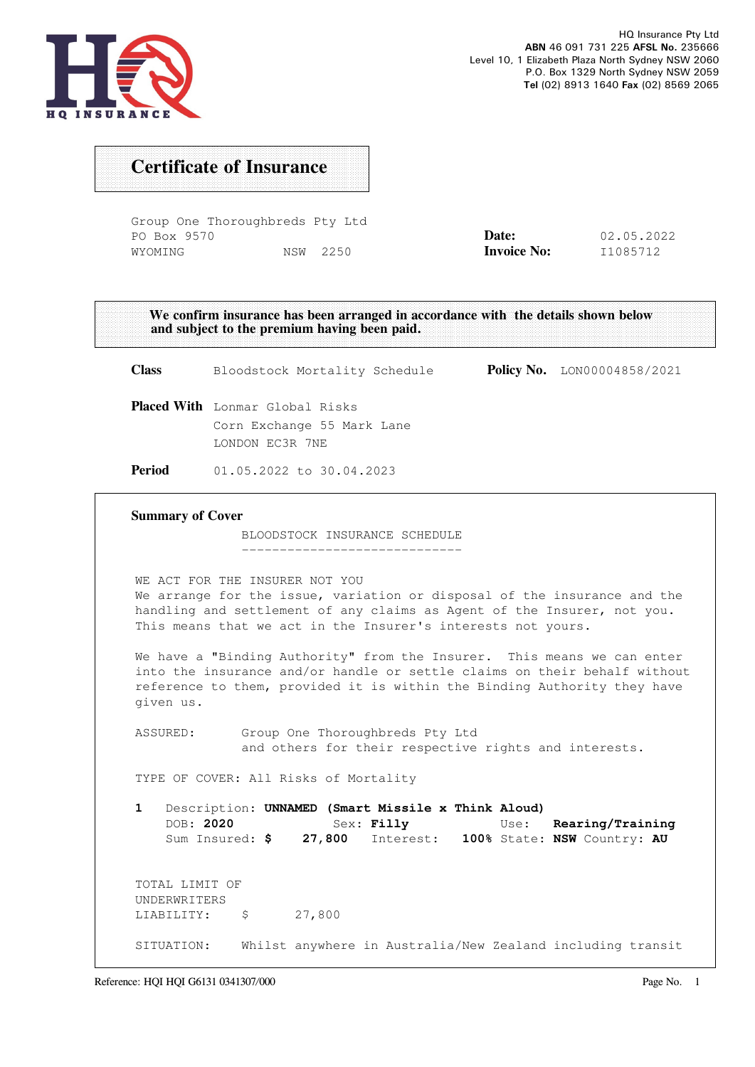

## Certificate of Insurance

Group One Thoroughbreds Pty Ltd PO Box 9570 WYOMING NSW 2250

| Date:              | 02.05.2022 |
|--------------------|------------|
| <b>Invoice No:</b> | I1085712   |

We confirm insurance has been arranged in accordance with the details shown below and subject to the premium having been paid.

Class Bloodstock Mortality Schedule Policy No. LON00004858/2021 Placed With Lonmar Global Risks Corn Exchange 55 Mark Lane LONDON EC3R 7NE Period 01.05.2022 to 30.04.2023 Summary of Cover BLOODSTOCK INSURANCE SCHEDULE ----------------------------- WE ACT FOR THE INSURER NOT YOU We arrange for the issue, variation or disposal of the insurance and the handling and settlement of any claims as Agent of the Insurer, not you. This means that we act in the Insurer's interests not yours. We have a "Binding Authority" from the Insurer. This means we can enter into the insurance and/or handle or settle claims on their behalf without reference to them, provided it is within the Binding Authority they have given us. ASSURED: Group One Thoroughbreds Pty Ltd and others for their respective rights and interests. TYPE OF COVER: All Risks of Mortality 1 Description: UNNAMED (Smart Missile x Think Aloud) DOB: 2020 Sex: Filly Use: Rearing/Training Sum Insured: \$ 27,800 Interest: 100% State: NSW Country: AU TOTAL LIMIT OF UNDERWRITERS LIABILITY: \$ 27,800 SITUATION: Whilst anywhere in Australia/New Zealand including transit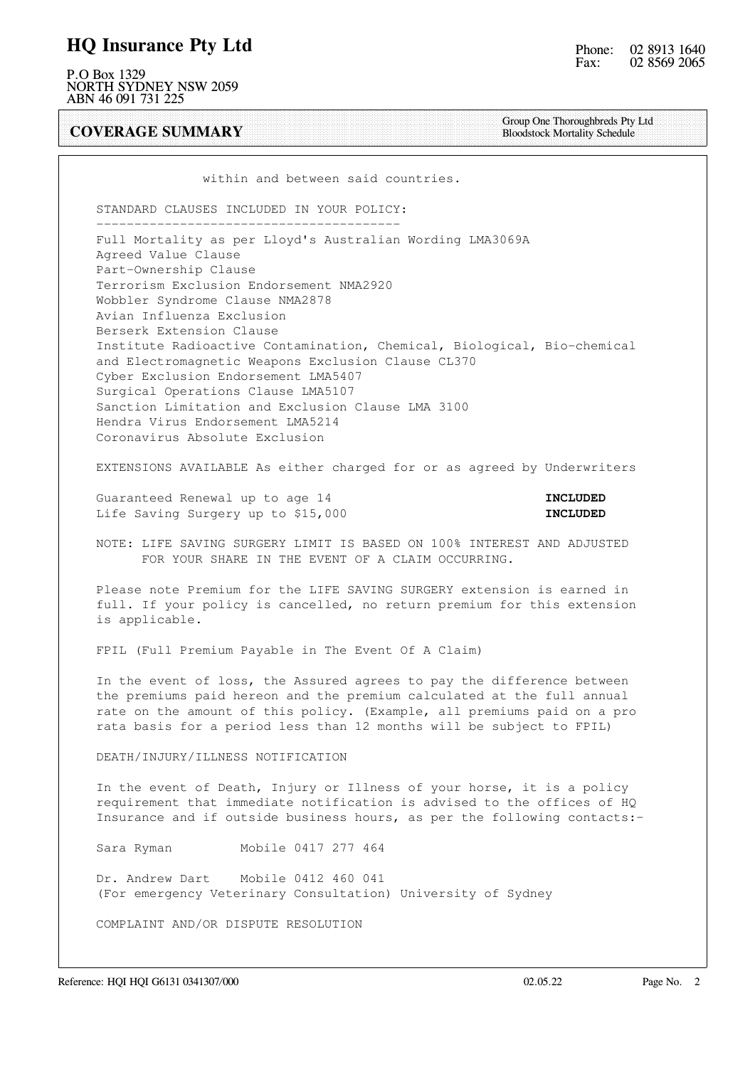### HQ Insurance Pty Ltd

P.O Box 1329 NORTH SYDNEY NSW 2059 ABN 46 091 731 225

COVERAGE SUMMARY

Group One Thoroughbreds Pty Ltd Bloodstock Mortality Schedule

within and between said countries.

STANDARD CLAUSES INCLUDED IN YOUR POLICY:

 ---------------------------------------- Full Mortality as per Lloyd's Australian Wording LMA3069A Agreed Value Clause Part-Ownership Clause Terrorism Exclusion Endorsement NMA2920 Wobbler Syndrome Clause NMA2878 Avian Influenza Exclusion Berserk Extension Clause Institute Radioactive Contamination, Chemical, Biological, Bio-chemical and Electromagnetic Weapons Exclusion Clause CL370 Cyber Exclusion Endorsement LMA5407 Surgical Operations Clause LMA5107 Sanction Limitation and Exclusion Clause LMA 3100 Hendra Virus Endorsement LMA5214 Coronavirus Absolute Exclusion

EXTENSIONS AVAILABLE As either charged for or as agreed by Underwriters

Guaranteed Renewal up to age 14 **INCLUDED** Life Saving Surgery up to \$15,000 **INCLUDED** 

 NOTE: LIFE SAVING SURGERY LIMIT IS BASED ON 100% INTEREST AND ADJUSTED FOR YOUR SHARE IN THE EVENT OF A CLAIM OCCURRING.

 Please note Premium for the LIFE SAVING SURGERY extension is earned in full. If your policy is cancelled, no return premium for this extension is applicable.

FPIL (Full Premium Payable in The Event Of A Claim)

 In the event of loss, the Assured agrees to pay the difference between the premiums paid hereon and the premium calculated at the full annual rate on the amount of this policy. (Example, all premiums paid on a pro rata basis for a period less than 12 months will be subject to FPIL)

DEATH/INJURY/ILLNESS NOTIFICATION

 In the event of Death, Injury or Illness of your horse, it is a policy requirement that immediate notification is advised to the offices of HQ Insurance and if outside business hours, as per the following contacts:-

Sara Ryman Mobile 0417 277 464

 Dr. Andrew Dart Mobile 0412 460 041 (For emergency Veterinary Consultation) University of Sydney

COMPLAINT AND/OR DISPUTE RESOLUTION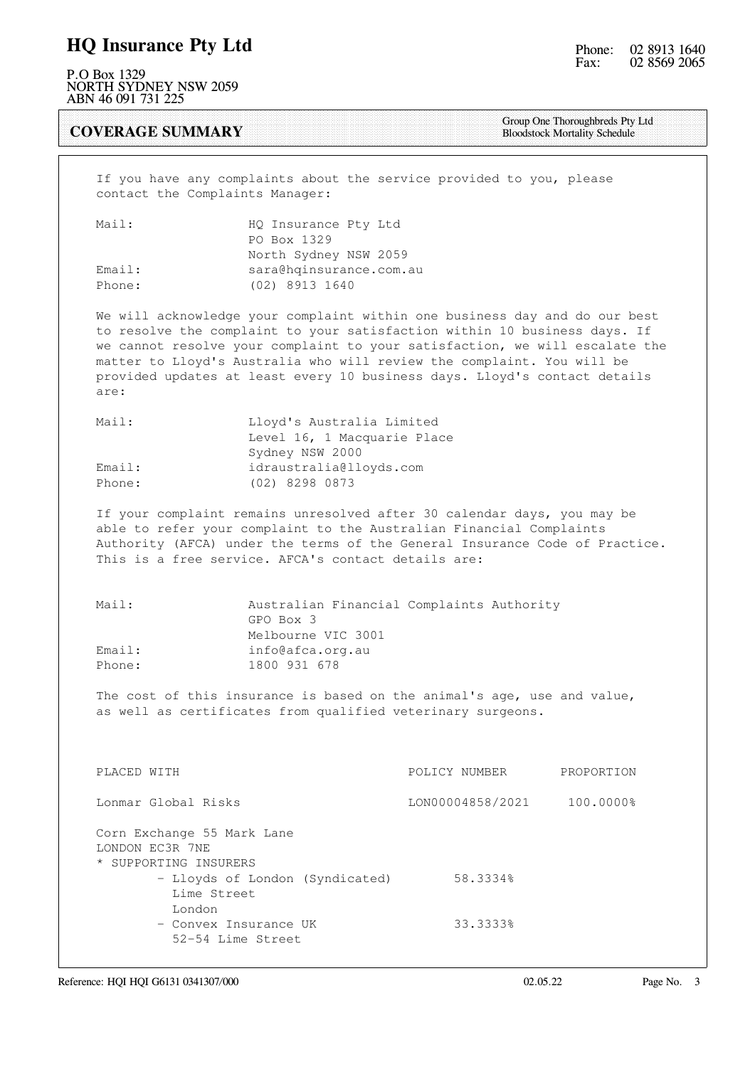### HQ Insurance Pty Ltd

P.O Box 1329 NORTH SYDNEY NSW 2059 ABN 46 091 731 225

#### COVERAGE SUMMARY

Group One Thoroughbreds Pty Ltd Bloodstock Mortality Schedule

 If you have any complaints about the service provided to you, please contact the Complaints Manager:

| Mail:  | HQ Insurance Pty Ltd    |
|--------|-------------------------|
|        | PO Box 1329             |
|        | North Sydney NSW 2059   |
| Email: | sara@hqinsurance.com.au |
| Phone: | (02) 8913 1640          |

 We will acknowledge your complaint within one business day and do our best to resolve the complaint to your satisfaction within 10 business days. If we cannot resolve your complaint to your satisfaction, we will escalate the matter to Lloyd's Australia who will review the complaint. You will be provided updates at least every 10 business days. Lloyd's contact details are:

| Mail:  | Lloyd's Australia Limited   |
|--------|-----------------------------|
|        | Level 16, 1 Macquarie Place |
|        | Sydney NSW 2000             |
| Email: | idraustralia@lloyds.com     |
| Phone: | (02) 8298 0873              |

 If your complaint remains unresolved after 30 calendar days, you may be able to refer your complaint to the Australian Financial Complaints Authority (AFCA) under the terms of the General Insurance Code of Practice. This is a free service. AFCA's contact details are:

| Mail:  | Australian Financial Complaints Authority |
|--------|-------------------------------------------|
|        | GPO Box 3                                 |
|        | Melbourne VIC 3001                        |
| Email: | info@afca.org.au                          |
| Phone: | 1800 931 678                              |

 The cost of this insurance is based on the animal's age, use and value, as well as certificates from qualified veterinary surgeons.

| PLACED WITH                                                            | POLICY NUMBER    | PROPORTION |
|------------------------------------------------------------------------|------------------|------------|
| Lonmar Global Risks                                                    | LON00004858/2021 | 100.0000%  |
| Corn Exchange 55 Mark Lane<br>LONDON EC3R 7NE<br>* SUPPORTING INSURERS |                  |            |
| - Lloyds of London (Syndicated)                                        | 58.3334%         |            |
| Lime Street<br>London                                                  |                  |            |
| - Convex Insurance UK<br>52-54 Lime Street                             | 33.3333%         |            |